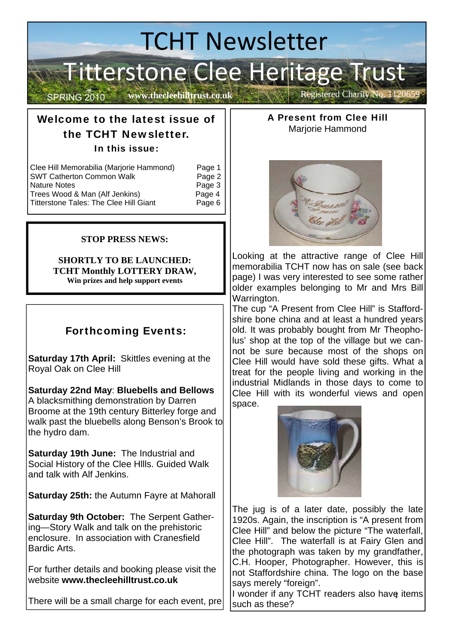# TCHT Newsletter Titterstone Clee Heritage Trust SPRING 2010 Www.thecleehilltrust.co.uk Registered Charity No. 1120659

**www.thecleehilltrust.co.uk** 

## Welcome to the latest issue of the TCHT Newsletter. In this issue:

| Clee Hill Memorabilia (Marjorie Hammond)      | Page 1 |
|-----------------------------------------------|--------|
| <b>SWT Catherton Common Walk</b>              | Page 2 |
| <b>Nature Notes</b>                           | Page 3 |
| Trees Wood & Man (Alf Jenkins)                | Page 4 |
| <b>Titterstone Tales: The Clee Hill Giant</b> | Page 6 |

### **STOP PRESS NEWS:**

#### **SHORTLY TO BE LAUNCHED: TCHT Monthly LOTTERY DRAW, Win prizes and help support events**

## Forthcoming Events:

**Saturday 17th April:** Skittles evening at the Royal Oak on Clee Hill

**Saturday 22nd May**: **Bluebells and Bellows**  A blacksmithing demonstration by Darren Broome at the 19th century Bitterley forge and walk past the bluebells along Benson's Brook to the hydro dam.

**Saturday 19th June:** The Industrial and Social History of the Clee Hllls. Guided Walk and talk with Alf Jenkins.

**Saturday 25th:** the Autumn Fayre at Mahorall

**Saturday 9th October:** The Serpent Gathering—Story Walk and talk on the prehistoric enclosure. In association with Cranesfield Bardic Arts.

For further details and booking please visit the website **www.thecleehilltrust.co.uk** 

There will be a small charge for each event, pre

A Present from Clee Hill Marjorie Hammond



Looking at the attractive range of Clee Hill memorabilia TCHT now has on sale (see back page) I was very interested to see some rather older examples belonging to Mr and Mrs Bill Warrington.

The cup "A Present from Clee Hill" is Staffordshire bone china and at least a hundred years old. It was probably bought from Mr Theopholus' shop at the top of the village but we cannot be sure because most of the shops on Clee Hill would have sold these gifts. What a treat for the people living and working in the industrial Midlands in those days to come to Clee Hill with its wonderful views and open space.



The jug is of a later date, possibly the late 1920s. Again, the inscription is "A present from Clee Hill" and below the picture "The waterfall, Clee Hill". The waterfall is at Fairy Glen and the photograph was taken by my grandfather, C.H. Hooper, Photographer. However, this is not Staffordshire china. The logo on the base says merely "foreign".

I wonder if any TCHT readers also have items such as these?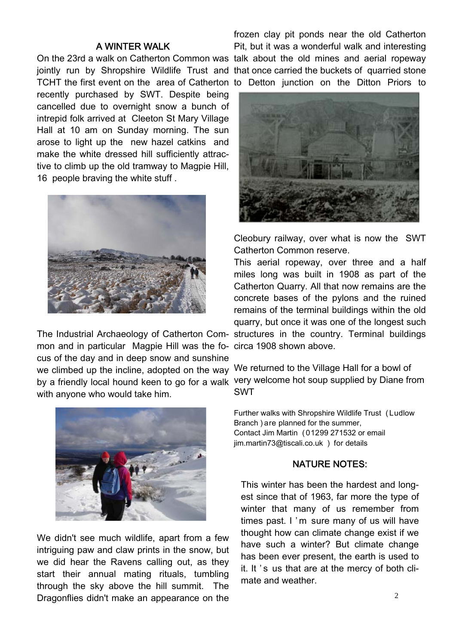#### A WINTER WALK

TCHT the first event on the area of Catherton to Detton junction on the Ditton Priors to recently purchased by SWT. Despite being cancelled due to overnight snow a bunch of intrepid folk arrived at Cleeton St Mary Village Hall at 10 am on Sunday morning. The sun arose to light up the new hazel catkins and make the white dressed hill sufficiently attractive to climb up the old tramway to Magpie Hill, 16 people braving the white stuff .



mon and in particular Magpie Hill was the fo-circa 1908 shown above. cus of the day and in deep snow and sunshine we climbed up the incline, adopted on the way We returned to the Village Hall for a bowl of by a friendly local hound keen to go for a walk very welcome hot soup supplied by Diane from with anyone who would take him.



We didn't see much wildlife, apart from a few intriguing paw and claw prints in the snow, but we did hear the Ravens calling out, as they start their annual mating rituals, tumbling through the sky above the hill summit. The Dragonflies didn't make an appearance on the

On the 23rd a walk on Catherton Common was talk about the old mines and aerial ropeway jointly run by Shropshire Wildlife Trust and that once carried the buckets of quarried stone frozen clay pit ponds near the old Catherton Pit, but it was a wonderful walk and interesting



Cleobury railway, over what is now the SWT Catherton Common reserve.

The Industrial Archaeology of Catherton Com-structures in the country. Terminal buildings This aerial ropeway, over three and a half miles long was built in 1908 as part of the Catherton Quarry. All that now remains are the concrete bases of the pylons and the ruined remains of the terminal buildings within the old quarry, but once it was one of the longest such

SWT

Further walks with Shropshire Wildlife Trust ( Ludlow Branch ) are planned for the summer, Contact Jim Martin ( 01299 271532 or email jim.martin73@tiscali.co.uk ) for details

#### NATURE NOTES:

This winter has been the hardest and longest since that of 1963, far more the type of winter that many of us remember from times past. I 'm sure many of us will have thought how can climate change exist if we have such a winter? But climate change has been ever present, the earth is used to it. It 's us that are at the mercy of both climate and weather.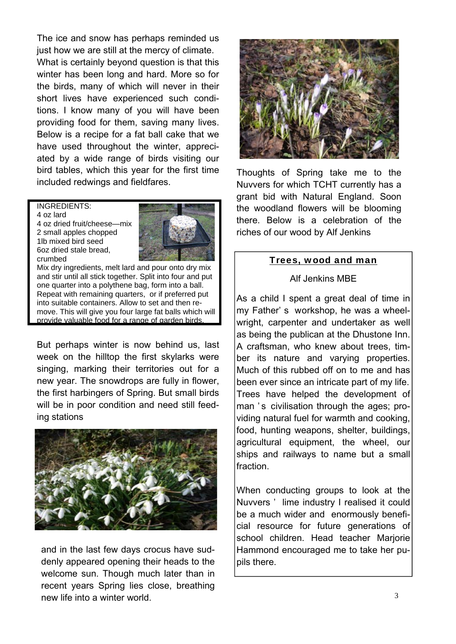The ice and snow has perhaps reminded us just how we are still at the mercy of climate.

What is certainly beyond question is that this winter has been long and hard. More so for the birds, many of which will never in their short lives have experienced such conditions. I know many of you will have been providing food for them, saving many lives. Below is a recipe for a fat ball cake that we have used throughout the winter, appreciated by a wide range of birds visiting our bird tables, which this year for the first time included redwings and fieldfares.

INGREDIENTS:

4 oz lard 4 oz dried fruit/cheese—mix 2 small apples chopped 1lb mixed bird seed 6oz dried stale bread, crumbed



Mix dry ingredients, melt lard and pour onto dry mix and stir until all stick together. Split into four and put one quarter into a polythene bag, form into a ball. Repeat with remaining quarters, or if preferred put into suitable containers. Allow to set and then remove. This will give you four large fat balls which will provide valuable food for a range of garden birds.

But perhaps winter is now behind us, last week on the hilltop the first skylarks were singing, marking their territories out for a new year. The snowdrops are fully in flower, the first harbingers of Spring. But small birds will be in poor condition and need still feeding stations



and in the last few days crocus have suddenly appeared opening their heads to the welcome sun. Though much later than in recent years Spring lies close, breathing new life into a winter world.



Thoughts of Spring take me to the Nuvvers for which TCHT currently has a grant bid with Natural England. Soon the woodland flowers will be blooming there. Below is a celebration of the riches of our wood by Alf Jenkins

#### Trees, wood and man

#### Alf Jenkins MBE

As a child I spent a great deal of time in my Father' s workshop, he was a wheelwright, carpenter and undertaker as well as being the publican at the Dhustone Inn. A craftsman, who knew about trees, timber its nature and varying properties. Much of this rubbed off on to me and has been ever since an intricate part of my life. Trees have helped the development of man 's civilisation through the ages; providing natural fuel for warmth and cooking, food, hunting weapons, shelter, buildings, agricultural equipment, the wheel, our ships and railways to name but a small fraction.

When conducting groups to look at the Nuvvers ' lime industry I realised it could be a much wider and enormously beneficial resource for future generations of school children. Head teacher Marjorie Hammond encouraged me to take her pupils there.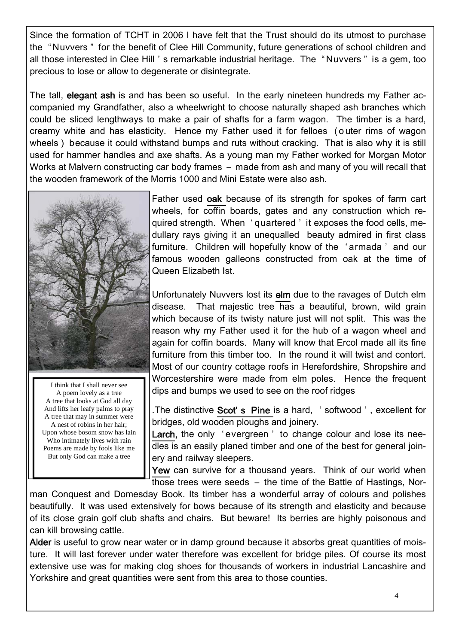Since the formation of TCHT in 2006 I have felt that the Trust should do its utmost to purchase the " Nuvvers " for the benefit of Clee Hill Community, future generations of school children and all those interested in Clee Hill ' s remarkable industrial heritage. The " Nuvvers " is a gem, too precious to lose or allow to degenerate or disintegrate.

The tall, elegant ash is and has been so useful. In the early nineteen hundreds my Father accompanied my Grandfather, also a wheelwright to choose naturally shaped ash branches which could be sliced lengthways to make a pair of shafts for a farm wagon. The timber is a hard, creamy white and has elasticity. Hence my Father used it for felloes ( o uter rims of wagon wheels ) because it could withstand bumps and ruts without cracking. That is also why it is still used for hammer handles and axe shafts. As a young man my Father worked for Morgan Motor Works at Malvern constructing car body frames – made from ash and many of you will recall that the wooden framework of the Morris 1000 and Mini Estate were also ash.



I think that I shall never see A poem lovely as a tree A tree that looks at God all day And lifts her leafy palms to pray A tree that may in summer were A nest of robins in her hair; Upon whose bosom snow has lain Who intimately lives with rain Poems are made by fools like me But only God can make a tree

Father used oak because of its strength for spokes of farm cart wheels, for coffin boards, gates and any construction which required strength. When ' quartered ' it exposes the food cells, medullary rays giving it an unequalled beauty admired in first class furniture. Children will hopefully know of the ' armada ' and our famous wooden galleons constructed from oak at the time of Queen Elizabeth Ist.

Unfortunately Nuvvers lost its elm due to the ravages of Dutch elm disease. That majestic tree has a beautiful, brown, wild grain which because of its twisty nature just will not split. This was the reason why my Father used it for the hub of a wagon wheel and again for coffin boards. Many will know that Ercol made all its fine furniture from this timber too. In the round it will twist and contort. Most of our country cottage roofs in Herefordshire, Shropshire and Worcestershire were made from elm poles. Hence the frequent dips and bumps we used to see on the roof ridges

.The distinctive Scot's Pine is a hard, 'softwood', excellent for bridges, old wooden ploughs and joinery.

Larch, the only 'evergreen' to change colour and lose its needles is an easily planed timber and one of the best for general joinery and railway sleepers.

Yew can survive for a thousand years. Think of our world when those trees were seeds – the time of the Battle of Hastings, Nor-

man Conquest and Domesday Book. Its timber has a wonderful array of colours and polishes beautifully. It was used extensively for bows because of its strength and elasticity and because of its close grain golf club shafts and chairs. But beware! Its berries are highly poisonous and can kill browsing cattle.

Alder is useful to grow near water or in damp ground because it absorbs great quantities of moisture. It will last forever under water therefore was excellent for bridge piles. Of course its most extensive use was for making clog shoes for thousands of workers in industrial Lancashire and Yorkshire and great quantities were sent from this area to those counties.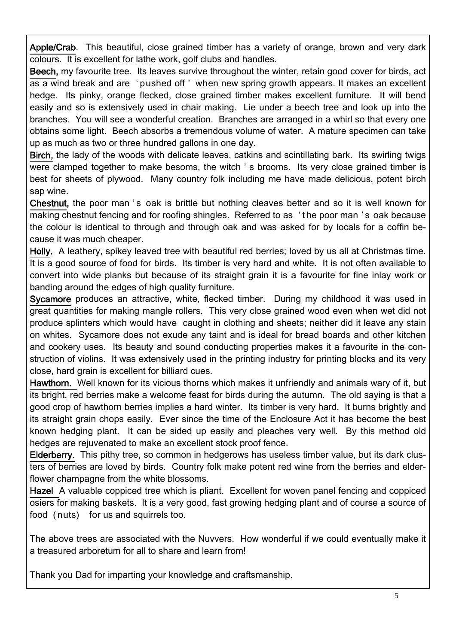Apple/Crab. This beautiful, close grained timber has a variety of orange, brown and very dark colours. It is excellent for lathe work, golf clubs and handles.

1

 $\overline{a}$ 

Beech, my favourite tree. Its leaves survive throughout the winter, retain good cover for birds, act as a wind break and are ' pushed off ' when new spring growth appears. It makes an excellent hedge. Its pinky, orange flecked, close grained timber makes excellent furniture. It will bend easily and so is extensively used in chair making. Lie under a beech tree and look up into the branches. You will see a wonderful creation. Branches are arranged in a whirl so that every one obtains some light. Beech absorbs a tremendous volume of water. A mature specimen can take up as much as two or three hundred gallons in one day.

Birch, the lady of the woods with delicate leaves, catkins and scintillating bark. Its swirling twigs were clamped together to make besoms, the witch ' s brooms. Its very close grained timber is best for sheets of plywood. Many country folk including me have made delicious, potent birch sap wine.

Chestnut, the poor man 's oak is brittle but nothing cleaves better and so it is well known for making chestnut fencing and for roofing shingles. Referred to as ' t he poor man ' s oak because the colour is identical to through and through oak and was asked for by locals for a coffin because it was much cheaper.

Holly. A leathery, spikey leaved tree with beautiful red berries; loved by us all at Christmas time. It is a good source of food for birds. Its timber is very hard and white. It is not often available to convert into wide planks but because of its straight grain it is a favourite for fine inlay work or banding around the edges of high quality furniture.

Sycamore produces an attractive, white, flecked timber. During my childhood it was used in great quantities for making mangle rollers. This very close grained wood even when wet did not produce splinters which would have caught in clothing and sheets; neither did it leave any stain on whites. Sycamore does not exude any taint and is ideal for bread boards and other kitchen and cookery uses. Its beauty and sound conducting properties makes it a favourite in the construction of violins. It was extensively used in the printing industry for printing blocks and its very close, hard grain is excellent for billiard cues.

Hawthorn. Well known for its vicious thorns which makes it unfriendly and animals wary of it, but its bright, red berries make a welcome feast for birds during the autumn. The old saying is that a good crop of hawthorn berries implies a hard winter. Its timber is very hard. It burns brightly and its straight grain chops easily. Ever since the time of the Enclosure Act it has become the best known hedging plant. It can be sided up easily and pleaches very well. By this method old hedges are rejuvenated to make an excellent stock proof fence.

Elderberry. This pithy tree, so common in hedgerows has useless timber value, but its dark clusters of berries are loved by birds. Country folk make potent red wine from the berries and elderflower champagne from the white blossoms.

Hazel A valuable coppiced tree which is pliant. Excellent for woven panel fencing and coppiced osiers for making baskets. It is a very good, fast growing hedging plant and of course a source of food ( nuts) for us and squirrels too.

The above trees are associated with the Nuvvers. How wonderful if we could eventually make it a treasured arboretum for all to share and learn from!

Thank you Dad for imparting your knowledge and craftsmanship.